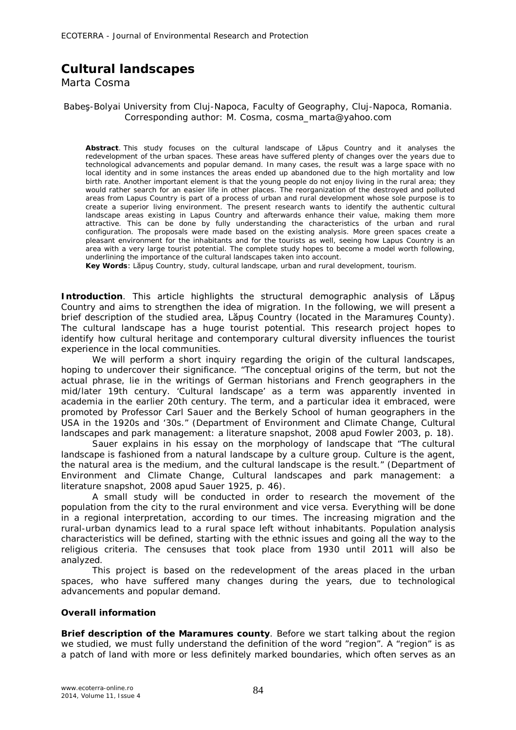## **Cultural landscapes**

Marta Cosma

## Babeş-Bolyai University from Cluj-Napoca, Faculty of Geography, Cluj-Napoca, Romania. Corresponding author: M. Cosma, cosma\_marta@yahoo.com

**Abstract**. This study focuses on the cultural landscape of Lăpus Country and it analyses the redevelopment of the urban spaces. These areas have suffered plenty of changes over the years due to technological advancements and popular demand. In many cases, the result was a large space with no local identity and in some instances the areas ended up abandoned due to the high mortality and low birth rate. Another important element is that the young people do not enjoy living in the rural area; they would rather search for an easier life in other places. The reorganization of the destroyed and polluted areas from Lapus Country is part of a process of urban and rural development whose sole purpose is to create a superior living environment. The present research wants to identify the authentic cultural landscape areas existing in Lapus Country and afterwards enhance their value, making them more attractive. This can be done by fully understanding the characteristics of the urban and rural configuration. The proposals were made based on the existing analysis. More green spaces create a pleasant environment for the inhabitants and for the tourists as well, seeing how Lapus Country is an area with a very large tourist potential. The complete study hopes to become a model worth following, underlining the importance of the cultural landscapes taken into account.

**Key Words**: Lăpuş Country, study, cultural landscape, urban and rural development, tourism.

**Introduction**. This article highlights the structural demographic analysis of Lăpuş Country and aims to strengthen the idea of migration. In the following, we will present a brief description of the studied area, Lăpuş Country (located in the Maramureş County). The cultural landscape has a huge tourist potential. This research project hopes to identify how cultural heritage and contemporary cultural diversity influences the tourist experience in the local communities.

We will perform a short inquiry regarding the origin of the cultural landscapes, hoping to undercover their significance. "The conceptual origins of the term, but not the actual phrase, lie in the writings of German historians and French geographers in the mid/later 19th century. 'Cultural landscape' as a term was apparently invented in academia in the earlier 20th century. The term, and a particular idea it embraced, were promoted by Professor Carl Sauer and the Berkely School of human geographers in the USA in the 1920s and '30s." (Department of Environment and Climate Change, Cultural landscapes and park management: a literature snapshot, 2008 apud Fowler 2003, p. 18).

Sauer explains in his essay on the morphology of landscape that "The cultural landscape is fashioned from a natural landscape by a culture group. Culture is the agent, the natural area is the medium, and the cultural landscape is the result." (Department of Environment and Climate Change, Cultural landscapes and park management: a literature snapshot, 2008 apud Sauer 1925, p. 46).

A small study will be conducted in order to research the movement of the population from the city to the rural environment and vice versa. Everything will be done in a regional interpretation, according to our times. The increasing migration and the rural-urban dynamics lead to a rural space left without inhabitants. Population analysis characteristics will be defined, starting with the ethnic issues and going all the way to the religious criteria. The censuses that took place from 1930 until 2011 will also be analyzed.

This project is based on the redevelopment of the areas placed in the urban spaces, who have suffered many changes during the years, due to technological advancements and popular demand.

## **Overall information**

*Brief description of the Maramures county.* Before we start talking about the region we studied, we must fully understand the definition of the word "region". A "region" is as a patch of land with more or less definitely marked boundaries, which often serves as an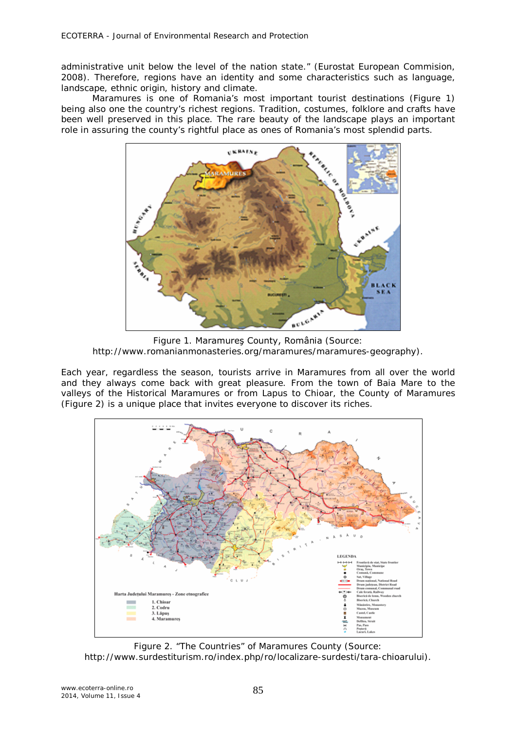administrative unit below the level of the nation state." (Eurostat European Commision, 2008). Therefore, regions have an identity and some characteristics such as language, landscape, ethnic origin, history and climate.

Maramures is one of Romania's most important tourist destinations (Figure 1) being also one the country's richest regions. Tradition, costumes, folklore and crafts have been well preserved in this place. The rare beauty of the landscape plays an important role in assuring the county's rightful place as ones of Romania's most splendid parts.



Figure 1. Maramureş County, România (Source: http://www.romanianmonasteries.org/maramures/maramures-geography).

Each year, regardless the season, tourists arrive in Maramures from all over the world and they always come back with great pleasure. From the town of Baia Mare to the valleys of the Historical Maramures or from Lapus to Chioar, the County of Maramures (Figure 2) is a unique place that invites everyone to discover its riches.



Figure 2. "The Countries" of Maramures County (Source: http://www.surdestiturism.ro/index.php/ro/localizare-surdesti/tara-chioarului).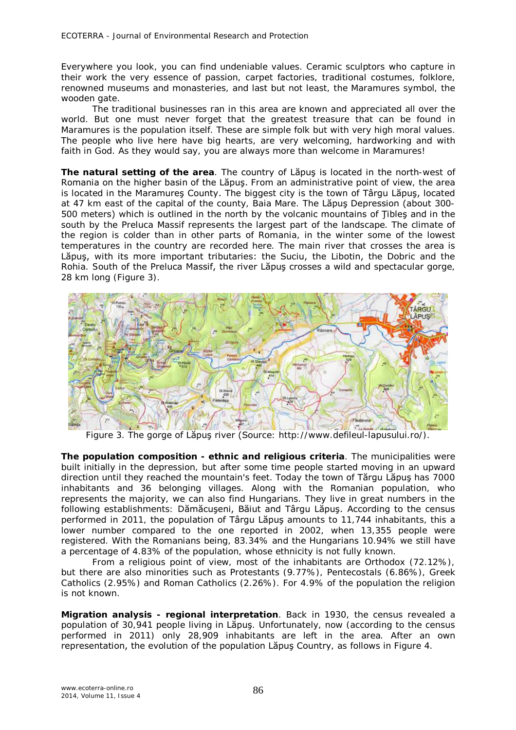Everywhere you look, you can find undeniable values. Ceramic sculptors who capture in their work the very essence of passion, carpet factories, traditional costumes, folklore, renowned museums and monasteries, and last but not least, the Maramures symbol, the wooden gate.

The traditional businesses ran in this area are known and appreciated all over the world. But one must never forget that the greatest treasure that can be found in Maramures is the population itself. These are simple folk but with very high moral values. The people who live here have big hearts, are very welcoming, hardworking and with faith in God. As they would say, you are always more than welcome in Maramures!

*The natural setting of the area.* The country of Lăpuş is located in the north-west of Romania on the higher basin of the Lăpuş. From an administrative point of view, the area is located in the Maramureş County. The biggest city is the town of Târgu Lăpuş, located at 47 km east of the capital of the county, Baia Mare. The Lăpuş Depression (about 300- 500 meters) which is outlined in the north by the volcanic mountains of Ţibleş and in the south by the Preluca Massif represents the largest part of the landscape. The climate of the region is colder than in other parts of Romania, in the winter some of the lowest temperatures in the country are recorded here. The main river that crosses the area is Lăpuş, with its more important tributaries: the Suciu, the Libotin, the Dobric and the Rohia. South of the Preluca Massif, the river Lăpuş crosses a wild and spectacular gorge, 28 km long (Figure 3).



Figure 3. The gorge of Lăpuş river (Source: http://www.defileul-lapusului.ro/).

*The population composition - ethnic and religious criteria.* The municipalities were built initially in the depression, but after some time people started moving in an upward direction until they reached the mountain's feet. Today the town of Tărgu Lăpuş has 7000 inhabitants and 36 belonging villages. Along with the Romanian population, who represents the majority, we can also find Hungarians. They live in great numbers in the following establishments: Dămăcuşeni, Băiut and Târgu Lăpuş. According to the census performed in 2011, the population of Târgu Lăpuş amounts to 11,744 inhabitants, this a lower number compared to the one reported in 2002, when 13,355 people were registered. With the Romanians being, 83.34% and the Hungarians 10.94% we still have a percentage of 4.83% of the population, whose ethnicity is not fully known.

From a religious point of view, most of the inhabitants are Orthodox (72.12%), but there are also minorities such as Protestants (9.77%), Pentecostals (6.86%), Greek Catholics (2.95%) and Roman Catholics (2.26%). For 4.9% of the population the religion is not known.

*Migration analysis - regional interpretation.* Back in 1930, the census revealed a population of 30,941 people living in Lăpuş. Unfortunately, now (according to the census performed in 2011) only 28,909 inhabitants are left in the area. After an own representation, the evolution of the population Lăpuş Country, as follows in Figure 4.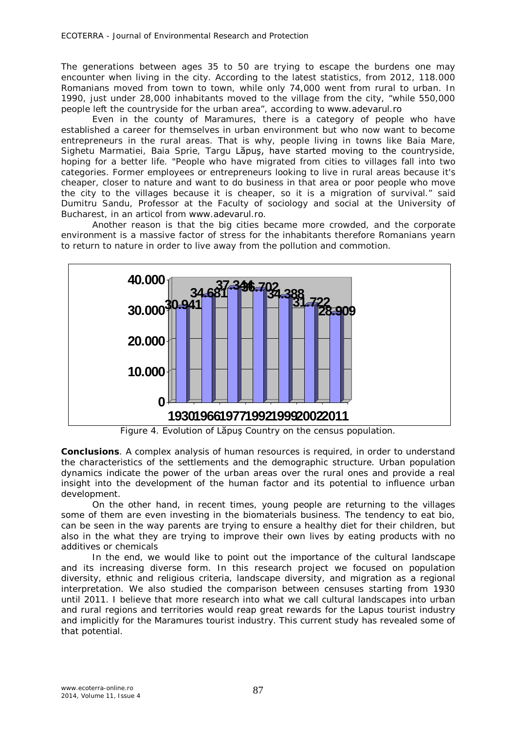The generations between ages 35 to 50 are trying to escape the burdens one may encounter when living in the city. According to the latest statistics, from 2012, 118.000 Romanians moved from town to town, while only 74,000 went from rural to urban. In 1990, just under 28,000 inhabitants moved to the village from the city, "while 550,000 people left the countryside for the urban area", according to www.adevarul.ro

Even in the county of Maramures, there is a category of people who have established a career for themselves in urban environment but who now want to become entrepreneurs in the rural areas. That is why, people living in towns like Baia Mare, Sighetu Marmatiei, Baia Sprie, Targu Lăpuş, have started moving to the countryside, hoping for a better life. "People who have migrated from cities to villages fall into two categories. Former employees or entrepreneurs looking to live in rural areas because it's cheaper, closer to nature and want to do business in that area or poor people who move the city to the villages because it is cheaper, so it is a migration of survival." said Dumitru Sandu, Professor at the Faculty of sociology and social at the University of Bucharest, in an articol from www.adevarul.ro.

Another reason is that the big cities became more crowded, and the corporate environment is a massive factor of stress for the inhabitants therefore Romanians yearn to return to nature in order to live away from the pollution and commotion.



Figure 4. Evolution of Lăpuş Country on the census population.

**Conclusions**. A complex analysis of human resources is required, in order to understand the characteristics of the settlements and the demographic structure. Urban population dynamics indicate the power of the urban areas over the rural ones and provide a real insight into the development of the human factor and its potential to influence urban development.

On the other hand, in recent times, young people are returning to the villages some of them are even investing in the biomaterials business. The tendency to eat bio, can be seen in the way parents are trying to ensure a healthy diet for their children, but also in the what they are trying to improve their own lives by eating products with no additives or chemicals

In the end, we would like to point out the importance of the cultural landscape and its increasing diverse form. In this research project we focused on population diversity, ethnic and religious criteria, landscape diversity, and migration as a regional interpretation. We also studied the comparison between censuses starting from 1930 until 2011. I believe that more research into what we call cultural landscapes into urban and rural regions and territories would reap great rewards for the Lapus tourist industry and implicitly for the Maramures tourist industry. This current study has revealed some of that potential.